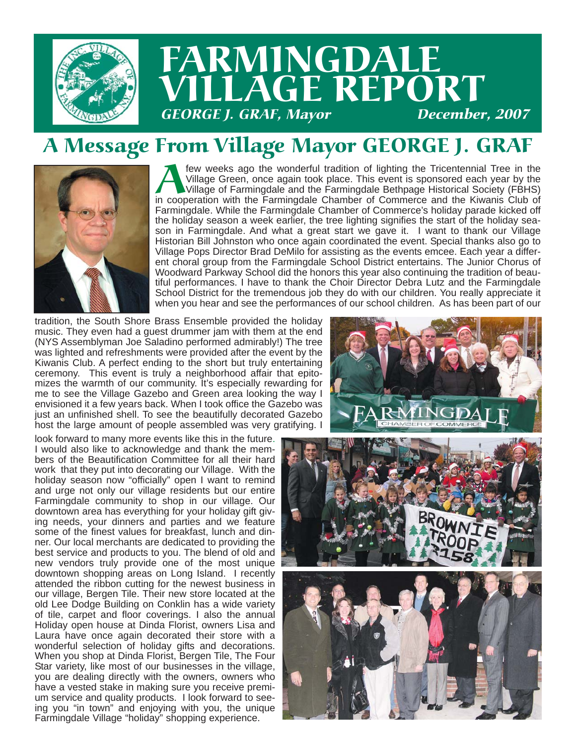

# FARMINGDALE LAGE REPORT **GEORGE J. GRAF, Mayor**

# A Message From Village Mayor GEORGE J. GRAF



Few weeks ago the wonderful tradition of lighting the Tricentennial Tree in the Village Green, once again took place. This event is sponsored each year by the Village of Farmingdale and the Farmingdale Bethpage Historical Village Green, once again took place. This event is sponsored each year by the Village of Farmingdale and the Farmingdale Bethpage Historical Society (FBHS) in cooperation with the Farmingdale Chamber of Commerce and the Kiwanis Club of Farmingdale. While the Farmingdale Chamber of Commerce's holiday parade kicked off the holiday season a week earlier, the tree lighting signifies the start of the holiday season in Farmingdale. And what a great start we gave it. I want to thank our Village Historian Bill Johnston who once again coordinated the event. Special thanks also go to Village Pops Director Brad DeMilo for assisting as the events emcee. Each year a different choral group from the Farmingdale School District entertains. The Junior Chorus of Woodward Parkway School did the honors this year also continuing the tradition of beautiful performances. I have to thank the Choir Director Debra Lutz and the Farmingdale School District for the tremendous job they do with our children. You really appreciate it when you hear and see the performances of our school children. As has been part of our

tradition, the South Shore Brass Ensemble provided the holiday music. They even had a guest drummer jam with them at the end (NYS Assemblyman Joe Saladino performed admirably!) The tree was lighted and refreshments were provided after the event by the Kiwanis Club. A perfect ending to the short but truly entertaining ceremony. This event is truly a neighborhood affair that epitomizes the warmth of our community. It's especially rewarding for me to see the Village Gazebo and Green area looking the way I envisioned it a few years back. When I took office the Gazebo was just an unfinished shell. To see the beautifully decorated Gazebo host the large amount of people assembled was very gratifying. I

look forward to many more events like this in the future. I would also like to acknowledge and thank the members of the Beautification Committee for all their hard work that they put into decorating our Village. With the holiday season now "officially" open I want to remind and urge not only our village residents but our entire Farmingdale community to shop in our village. Our downtown area has everything for your holiday gift giving needs, your dinners and parties and we feature some of the finest values for breakfast, lunch and dinner. Our local merchants are dedicated to providing the best service and products to you. The blend of old and new vendors truly provide one of the most unique downtown shopping areas on Long Island. I recently attended the ribbon cutting for the newest business in our village, Bergen Tile. Their new store located at the old Lee Dodge Building on Conklin has a wide variety of tile, carpet and floor coverings. I also the annual Holiday open house at Dinda Florist, owners Lisa and Laura have once again decorated their store with a wonderful selection of holiday gifts and decorations. When you shop at Dinda Florist, Bergen Tile, The Four Star variety, like most of our businesses in the village, you are dealing directly with the owners, owners who have a vested stake in making sure you receive premium service and quality products. I look forward to seeing you "in town" and enjoying with you, the unique Farmingdale Village "holiday" shopping experience.



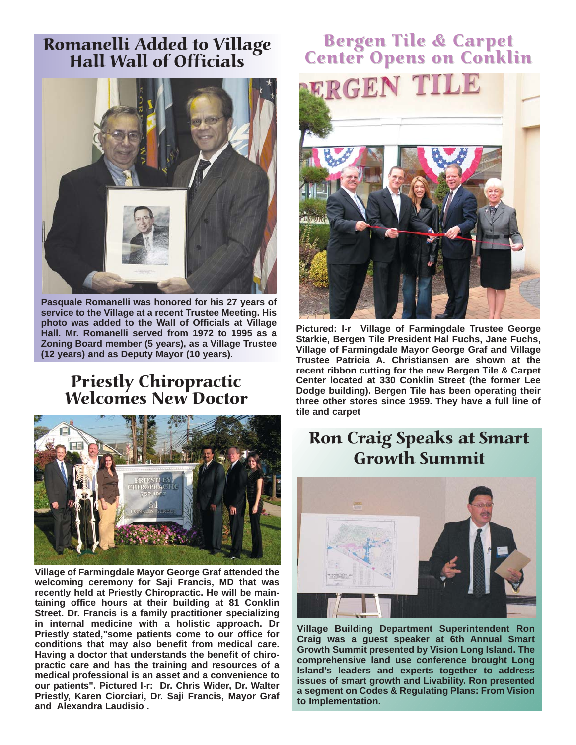#### Romanelli Added to Village Hall Wall of Officials



**Pasquale Romanelli was honored for his 27 years of service to the Village at a recent Trustee Meeting. His photo was added to the Wall of Officials at Village Hall. Mr. Romanelli served from 1972 to 1995 as a Zoning Board member (5 years), as a Village Trustee (12 years) and as Deputy Mayor (10 years).** 

#### Priestly Chiropractic Welcomes New Doctor



**Village of Farmingdale Mayor George Graf attended the welcoming ceremony for Saji Francis, MD that was recently held at Priestly Chiropractic. He will be maintaining office hours at their building at 81 Conklin Street. Dr. Francis is a family practitioner specializing in internal medicine with a holistic approach. Dr Priestly stated,"some patients come to our office for conditions that may also benefit from medical care. Having a doctor that understands the benefit of chiropractic care and has the training and resources of a medical professional is an asset and a convenience to our patients". Pictured l-r: Dr. Chris Wider, Dr. Walter Priestly, Karen Ciorciari, Dr. Saji Francis, Mayor Graf and Alexandra Laudisio .**

#### Bergen Tile & Carpet **Center Opens on Conklin**



**Pictured: l-r Village of Farmingdale Trustee George Starkie, Bergen Tile President Hal Fuchs, Jane Fuchs, Village of Farmingdale Mayor George Graf and Village Trustee Patricia A. Christiansen are shown at the recent ribbon cutting for the new Bergen Tile & Carpet Center located at 330 Conklin Street (the former Lee Dodge building). Bergen Tile has been operating their three other stores since 1959. They have a full line of tile and carpet**

### Ron Craig Speaks at Smart Growth Summit



**Village Building Department Superintendent Ron Craig was a guest speaker at 6th Annual Smart Growth Summit presented by Vision Long Island. The comprehensive land use conference brought Long Island's leaders and experts together to address issues of smart growth and Livability. Ron presented a segment on Codes & Regulating Plans: From Vision to Implementation.**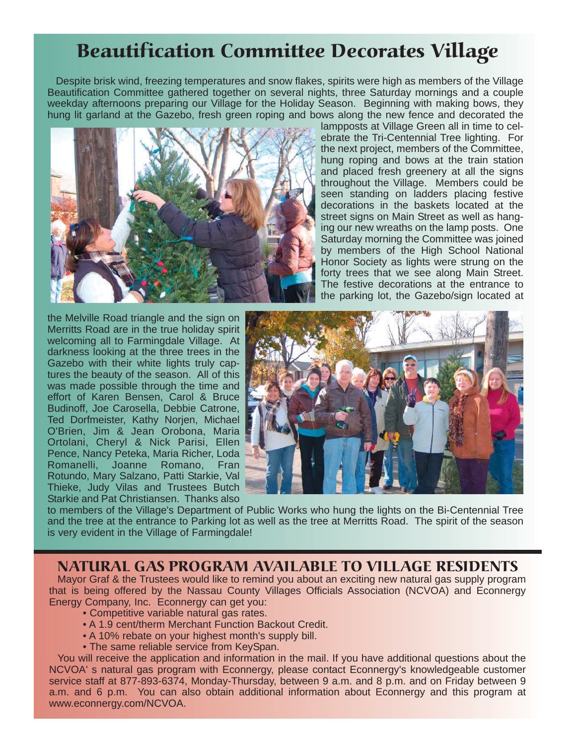# Beautification Committee Decorates Village

Despite brisk wind, freezing temperatures and snow flakes, spirits were high as members of the Village Beautification Committee gathered together on several nights, three Saturday mornings and a couple weekday afternoons preparing our Village for the Holiday Season. Beginning with making bows, they hung lit garland at the Gazebo, fresh green roping and bows along the new fence and decorated the



lampposts at Village Green all in time to celebrate the Tri-Centennial Tree lighting. For the next project, members of the Committee, hung roping and bows at the train station and placed fresh greenery at all the signs throughout the Village. Members could be seen standing on ladders placing festive decorations in the baskets located at the street signs on Main Street as well as hanging our new wreaths on the lamp posts. One Saturday morning the Committee was joined by members of the High School National Honor Society as lights were strung on the forty trees that we see along Main Street. The festive decorations at the entrance to the parking lot, the Gazebo/sign located at

the Melville Road triangle and the sign on Merritts Road are in the true holiday spirit welcoming all to Farmingdale Village. At darkness looking at the three trees in the Gazebo with their white lights truly captures the beauty of the season. All of this was made possible through the time and effort of Karen Bensen, Carol & Bruce Budinoff, Joe Carosella, Debbie Catrone, Ted Dorfmeister, Kathy Norjen, Michael O'Brien, Jim & Jean Orobona, Maria Ortolani, Cheryl & Nick Parisi, Ellen Pence, Nancy Peteka, Maria Richer, Loda Romanelli, Joanne Romano, Fran Rotundo, Mary Salzano, Patti Starkie, Val Thieke, Judy Vilas and Trustees Butch Starkie and Pat Christiansen. Thanks also



to members of the Village's Department of Public Works who hung the lights on the Bi-Centennial Tree and the tree at the entrance to Parking lot as well as the tree at Merritts Road. The spirit of the season is very evident in the Village of Farmingdale!

#### NATURAL GAS PROGRAM AVAILABLE TO VILLAGE RESIDENTS

Mayor Graf & the Trustees would like to remind you about an exciting new natural gas supply program that is being offered by the Nassau County Villages Officials Association (NCVOA) and Econnergy Energy Company, Inc. Econnergy can get you:

- Competitive variable natural gas rates.
- A 1.9 cent/therm Merchant Function Backout Credit.
- A 10% rebate on your highest month's supply bill.
- The same reliable service from KeySpan.

You will receive the application and information in the mail. If you have additional questions about the NCVOA' s natural gas program with Econnergy, please contact Econnergy's knowledgeable customer service staff at 877-893-6374, Monday-Thursday, between 9 a.m. and 8 p.m. and on Friday between 9 a.m. and 6 p.m. You can also obtain additional information about Econnergy and this program at www.econnergy.com/NCVOA.